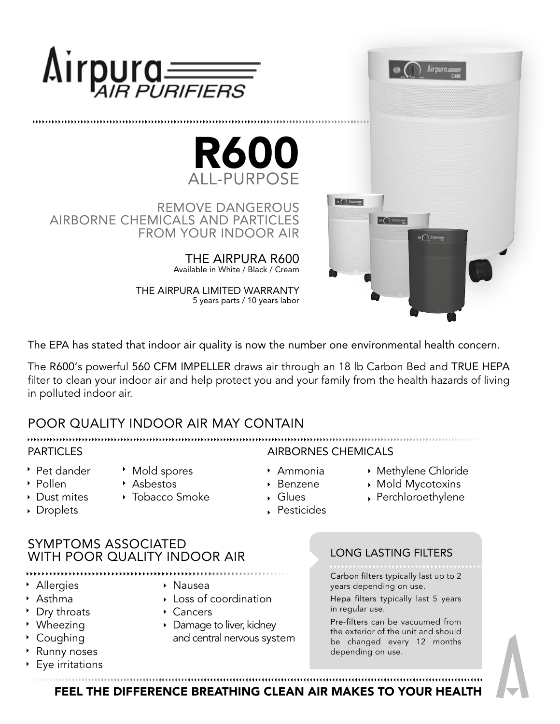



REMOVE DANGEROUS AIRBORNE CHEMICALS AND PARTICLES FROM YOUR INDOOR AIR

> THE AIRPURA R600 Available in White / Black / Cream

THE AIRPURA LIMITED WARRANTY 5 years parts / 10 years labor



The EPA has stated that indoor air quality is now the number one environmental health concern.

The R600's powerful 560 CFM IMPELLER draws air through an 18 lb Carbon Bed and TRUE HEPA filter to clean your indoor air and help protect you and your family from the health hazards of living in polluted indoor air.

# POOR QUALITY INDOOR AIR MAY CONTAIN

▶ Pet dander

▶ Dust mites ▸ Droplets

- Pollen
- Tobacco Smoke

Mold spores

- PARTICLES AIRBORNES CHEMICALS
	- Ammonia
	- ▶ Benzene
	- Glues
		- Perchloroethylene
	- Pesticides

### SYMPTOMS ASSOCIATED WITH POOR QUALITY INDOOR AIR

- Allergies
- Asthma
- Dry throats
- Wheezing
- Coughing
- **Runny noses**
- Eye irritations

#### LONG LASTING FILTERS

Carbon filters typically last up to 2 years depending on use.

Methylene Chloride Mold Mycotoxins

Hepa filters typically last 5 years

Pre-filters can be vacuumed from the exterior of the unit and should be changed every 12 months depending on use.

,,,,,,,,,,,,,,,,,,,,,,, FEEL THE DIFFERENCE BREATHING CLEAN AIR MAKES TO YOUR HEALTH

- Asbestos
	-
- 
- 

Nausea

Cancers

Loss of coordination

# 



in regular use.

▶ Damage to liver, kidney and central nervous system